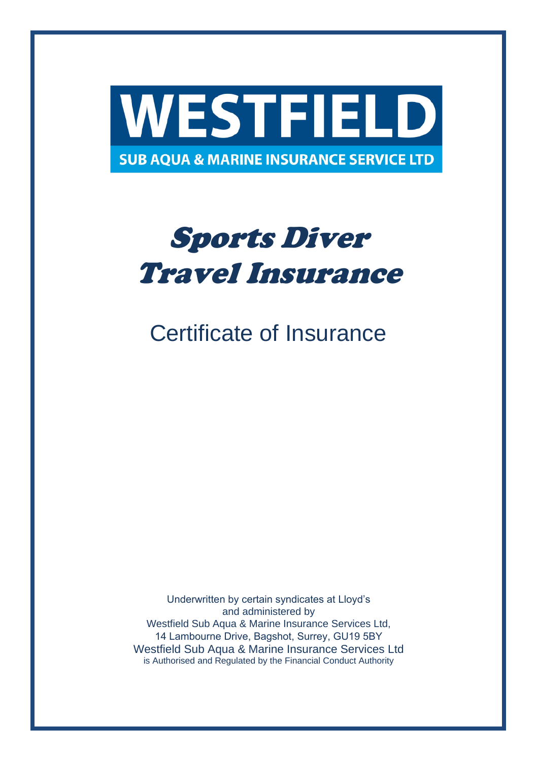

# Sports Diver Travel Insurance

## Certificate of Insurance

Underwritten by certain syndicates at Lloyd's and administered by Westfield Sub Aqua & Marine Insurance Services Ltd, 14 Lambourne Drive, Bagshot, Surrey, GU19 5BY Westfield Sub Aqua & Marine Insurance Services Ltd is Authorised and Regulated by the Financial Conduct Authority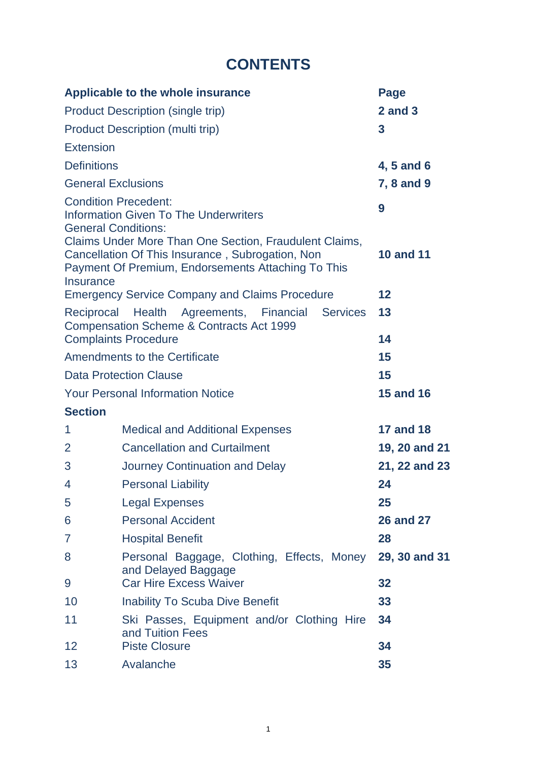## **CONTENTS**

| Applicable to the whole insurance                                                                                                                                                                                                                                                   |                                                                   | Page                  |
|-------------------------------------------------------------------------------------------------------------------------------------------------------------------------------------------------------------------------------------------------------------------------------------|-------------------------------------------------------------------|-----------------------|
| Product Description (single trip)                                                                                                                                                                                                                                                   |                                                                   | $2$ and $3$           |
| Product Description (multi trip)                                                                                                                                                                                                                                                    |                                                                   | 3                     |
| Extension                                                                                                                                                                                                                                                                           |                                                                   |                       |
| <b>Definitions</b>                                                                                                                                                                                                                                                                  |                                                                   | 4, 5 and 6            |
| <b>General Exclusions</b>                                                                                                                                                                                                                                                           |                                                                   | 7, 8 and 9            |
| <b>Condition Precedent:</b><br>Information Given To The Underwriters<br><b>General Conditions:</b><br>Claims Under More Than One Section, Fraudulent Claims,<br>Cancellation Of This Insurance, Subrogation, Non<br>Payment Of Premium, Endorsements Attaching To This<br>Insurance |                                                                   | 9<br><b>10 and 11</b> |
| <b>Emergency Service Company and Claims Procedure</b>                                                                                                                                                                                                                               |                                                                   | 12                    |
| Agreements, Financial<br>Reciprocal Health<br><b>Services</b><br>Compensation Scheme & Contracts Act 1999<br><b>Complaints Procedure</b>                                                                                                                                            |                                                                   | 13<br>14              |
| Amendments to the Certificate                                                                                                                                                                                                                                                       |                                                                   | 15                    |
| Data Protection Clause                                                                                                                                                                                                                                                              |                                                                   | 15                    |
| <b>Your Personal Information Notice</b>                                                                                                                                                                                                                                             |                                                                   | <b>15 and 16</b>      |
| <b>Section</b>                                                                                                                                                                                                                                                                      |                                                                   |                       |
| 1                                                                                                                                                                                                                                                                                   | <b>Medical and Additional Expenses</b>                            | <b>17 and 18</b>      |
| 2                                                                                                                                                                                                                                                                                   | <b>Cancellation and Curtailment</b>                               | 19, 20 and 21         |
| 3                                                                                                                                                                                                                                                                                   | Journey Continuation and Delay                                    | 21, 22 and 23         |
| 4                                                                                                                                                                                                                                                                                   | <b>Personal Liability</b>                                         | 24                    |
| 5                                                                                                                                                                                                                                                                                   | <b>Legal Expenses</b>                                             | 25                    |
| 6                                                                                                                                                                                                                                                                                   | <b>Personal Accident</b>                                          | <b>26 and 27</b>      |
| 7                                                                                                                                                                                                                                                                                   | <b>Hospital Benefit</b>                                           | 28                    |
| 8                                                                                                                                                                                                                                                                                   | Personal Baggage, Clothing, Effects, Money<br>and Delayed Baggage | 29, 30 and 31         |
| 9                                                                                                                                                                                                                                                                                   | <b>Car Hire Excess Waiver</b>                                     | 32                    |
| 10                                                                                                                                                                                                                                                                                  | Inability To Scuba Dive Benefit                                   | 33                    |
| 11                                                                                                                                                                                                                                                                                  | Ski Passes, Equipment and/or Clothing Hire<br>and Tuition Fees    | 34                    |
| 12                                                                                                                                                                                                                                                                                  | <b>Piste Closure</b>                                              | 34                    |
| 13                                                                                                                                                                                                                                                                                  | Avalanche                                                         | 35                    |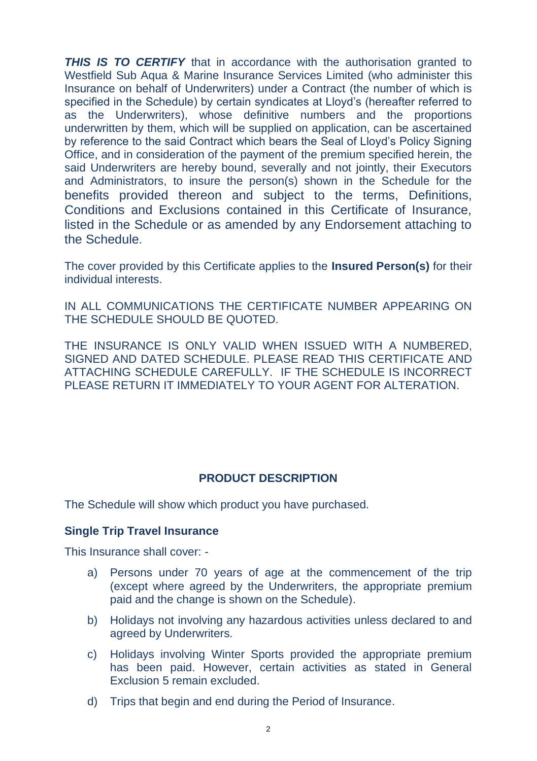**THIS IS TO CERTIFY** that in accordance with the authorisation granted to Westfield Sub Aqua & Marine Insurance Services Limited (who administer this Insurance on behalf of Underwriters) under a Contract (the number of which is specified in the Schedule) by certain syndicates at Lloyd's (hereafter referred to as the Underwriters), whose definitive numbers and the proportions underwritten by them, which will be supplied on application, can be ascertained by reference to the said Contract which bears the Seal of Lloyd's Policy Signing Office, and in consideration of the payment of the premium specified herein, the said Underwriters are hereby bound, severally and not jointly, their Executors and Administrators, to insure the person(s) shown in the Schedule for the benefits provided thereon and subject to the terms, Definitions, Conditions and Exclusions contained in this Certificate of Insurance, listed in the Schedule or as amended by any Endorsement attaching to the Schedule.

The cover provided by this Certificate applies to the **Insured Person(s)** for their individual interests.

IN ALL COMMUNICATIONS THE CERTIFICATE NUMBER APPEARING ON THE SCHEDULE SHOULD BE QUOTED.

THE INSURANCE IS ONLY VALID WHEN ISSUED WITH A NUMBERED, SIGNED AND DATED SCHEDULE. PLEASE READ THIS CERTIFICATE AND ATTACHING SCHEDULE CAREFULLY. IF THE SCHEDULE IS INCORRECT PLEASE RETURN IT IMMEDIATELY TO YOUR AGENT FOR ALTERATION.

## **PRODUCT DESCRIPTION**

The Schedule will show which product you have purchased.

#### **Single Trip Travel Insurance**

This Insurance shall cover: -

- a) Persons under 70 years of age at the commencement of the trip (except where agreed by the Underwriters, the appropriate premium paid and the change is shown on the Schedule).
- b) Holidays not involving any hazardous activities unless declared to and agreed by Underwriters.
- c) Holidays involving Winter Sports provided the appropriate premium has been paid. However, certain activities as stated in General Exclusion 5 remain excluded.
- d) Trips that begin and end during the Period of Insurance.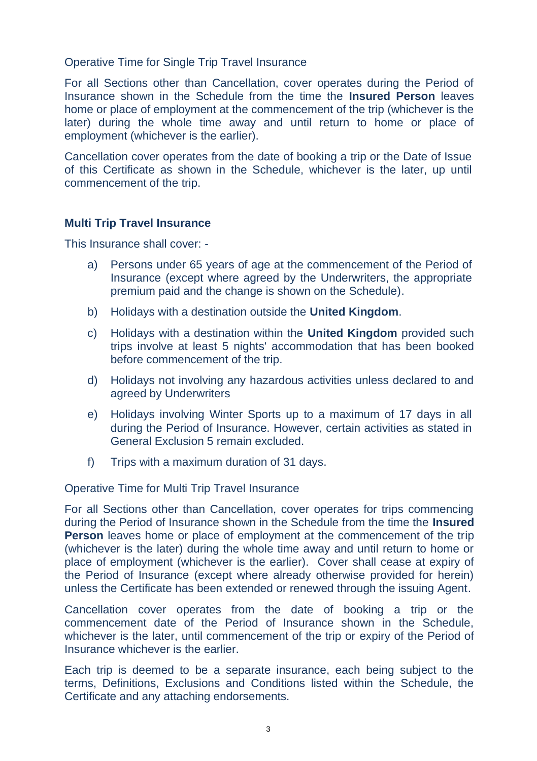#### Operative Time for Single Trip Travel Insurance

For all Sections other than Cancellation, cover operates during the Period of Insurance shown in the Schedule from the time the **Insured Person** leaves home or place of employment at the commencement of the trip (whichever is the later) during the whole time away and until return to home or place of employment (whichever is the earlier).

Cancellation cover operates from the date of booking a trip or the Date of Issue of this Certificate as shown in the Schedule, whichever is the later, up until commencement of the trip.

## **Multi Trip Travel Insurance**

This Insurance shall cover: -

- a) Persons under 65 years of age at the commencement of the Period of Insurance (except where agreed by the Underwriters, the appropriate premium paid and the change is shown on the Schedule).
- b) Holidays with a destination outside the **United Kingdom**.
- c) Holidays with a destination within the **United Kingdom** provided such trips involve at least 5 nights' accommodation that has been booked before commencement of the trip.
- d) Holidays not involving any hazardous activities unless declared to and agreed by Underwriters
- e) Holidays involving Winter Sports up to a maximum of 17 days in all during the Period of Insurance. However, certain activities as stated in General Exclusion 5 remain excluded.
- f) Trips with a maximum duration of 31 days.

Operative Time for Multi Trip Travel Insurance

For all Sections other than Cancellation, cover operates for trips commencing during the Period of Insurance shown in the Schedule from the time the **Insured Person** leaves home or place of employment at the commencement of the trip (whichever is the later) during the whole time away and until return to home or place of employment (whichever is the earlier). Cover shall cease at expiry of the Period of Insurance (except where already otherwise provided for herein) unless the Certificate has been extended or renewed through the issuing Agent.

Cancellation cover operates from the date of booking a trip or the commencement date of the Period of Insurance shown in the Schedule, whichever is the later, until commencement of the trip or expiry of the Period of Insurance whichever is the earlier.

Each trip is deemed to be a separate insurance, each being subject to the terms, Definitions, Exclusions and Conditions listed within the Schedule, the Certificate and any attaching endorsements.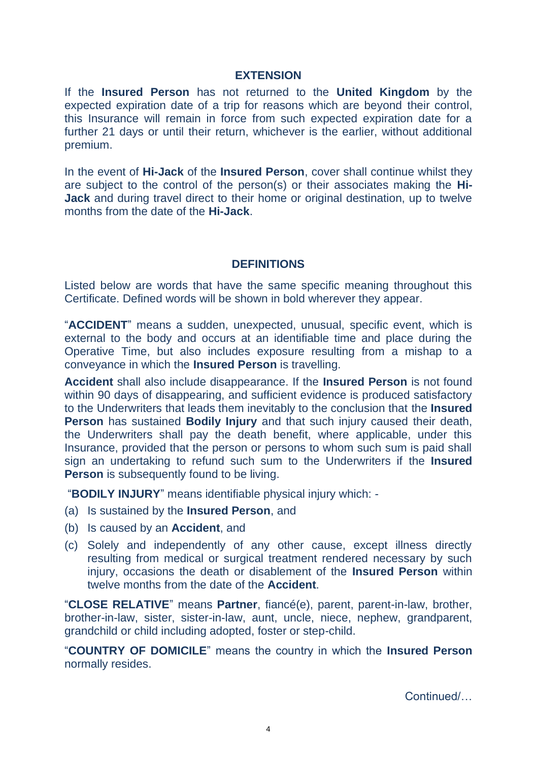## **EXTENSION**

If the **Insured Person** has not returned to the **United Kingdom** by the expected expiration date of a trip for reasons which are beyond their control, this Insurance will remain in force from such expected expiration date for a further 21 days or until their return, whichever is the earlier, without additional premium.

In the event of **Hi-Jack** of the **Insured Person**, cover shall continue whilst they are subject to the control of the person(s) or their associates making the **Hi-Jack** and during travel direct to their home or original destination, up to twelve months from the date of the **Hi-Jack**.

#### **DEFINITIONS**

Listed below are words that have the same specific meaning throughout this Certificate. Defined words will be shown in bold wherever they appear.

"**ACCIDENT**" means a sudden, unexpected, unusual, specific event, which is external to the body and occurs at an identifiable time and place during the Operative Time, but also includes exposure resulting from a mishap to a conveyance in which the **Insured Person** is travelling.

**Accident** shall also include disappearance. If the **Insured Person** is not found within 90 days of disappearing, and sufficient evidence is produced satisfactory to the Underwriters that leads them inevitably to the conclusion that the **Insured Person** has sustained **Bodily Injury** and that such injury caused their death, the Underwriters shall pay the death benefit, where applicable, under this Insurance, provided that the person or persons to whom such sum is paid shall sign an undertaking to refund such sum to the Underwriters if the **Insured Person** is subsequently found to be living.

"**BODILY INJURY**" means identifiable physical injury which: -

- (a) Is sustained by the **Insured Person**, and
- (b) Is caused by an **Accident**, and
- (c) Solely and independently of any other cause, except illness directly resulting from medical or surgical treatment rendered necessary by such injury, occasions the death or disablement of the **Insured Person** within twelve months from the date of the **Accident**.

"**CLOSE RELATIVE**" means **Partner**, fiancé(e), parent, parent-in-law, brother, brother-in-law, sister, sister-in-law, aunt, uncle, niece, nephew, grandparent, grandchild or child including adopted, foster or step-child.

"**COUNTRY OF DOMICILE**" means the country in which the **Insured Person** normally resides.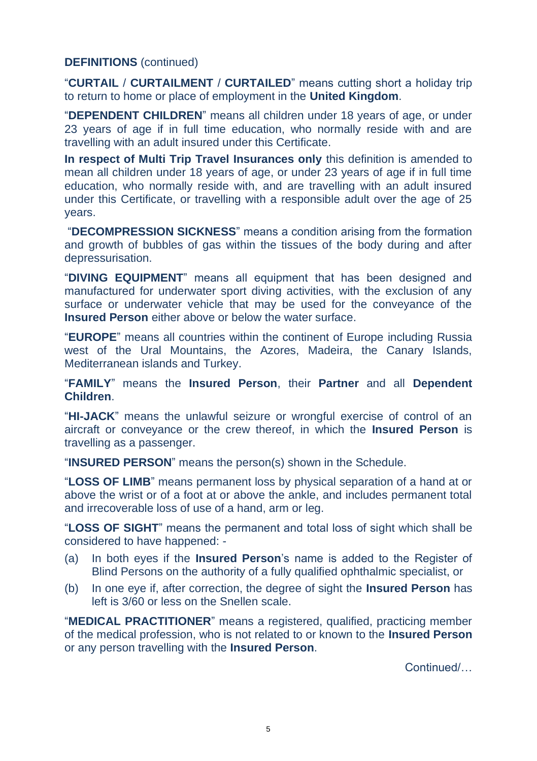## **DEFINITIONS** (continued)

"**CURTAIL** / **CURTAILMENT** / **CURTAILED**" means cutting short a holiday trip to return to home or place of employment in the **United Kingdom**.

"**DEPENDENT CHILDREN**" means all children under 18 years of age, or under 23 years of age if in full time education, who normally reside with and are travelling with an adult insured under this Certificate.

**In respect of Multi Trip Travel Insurances only** this definition is amended to mean all children under 18 years of age, or under 23 years of age if in full time education, who normally reside with, and are travelling with an adult insured under this Certificate, or travelling with a responsible adult over the age of 25 years.

"**DECOMPRESSION SICKNESS**" means a condition arising from the formation and growth of bubbles of gas within the tissues of the body during and after depressurisation.

"**DIVING EQUIPMENT**" means all equipment that has been designed and manufactured for underwater sport diving activities, with the exclusion of any surface or underwater vehicle that may be used for the conveyance of the **Insured Person** either above or below the water surface.

"**EUROPE**" means all countries within the continent of Europe including Russia west of the Ural Mountains, the Azores, Madeira, the Canary Islands, Mediterranean islands and Turkey.

"**FAMILY**" means the **Insured Person**, their **Partner** and all **Dependent Children**.

"**HI-JACK**" means the unlawful seizure or wrongful exercise of control of an aircraft or conveyance or the crew thereof, in which the **Insured Person** is travelling as a passenger.

"**INSURED PERSON**" means the person(s) shown in the Schedule.

"**LOSS OF LIMB**" means permanent loss by physical separation of a hand at or above the wrist or of a foot at or above the ankle, and includes permanent total and irrecoverable loss of use of a hand, arm or leg.

"**LOSS OF SIGHT**" means the permanent and total loss of sight which shall be considered to have happened: -

- (a) In both eyes if the **Insured Person**'s name is added to the Register of Blind Persons on the authority of a fully qualified ophthalmic specialist, or
- (b) In one eye if, after correction, the degree of sight the **Insured Person** has left is 3/60 or less on the Snellen scale.

"**MEDICAL PRACTITIONER**" means a registered, qualified, practicing member of the medical profession, who is not related to or known to the **Insured Person** or any person travelling with the **Insured Person**.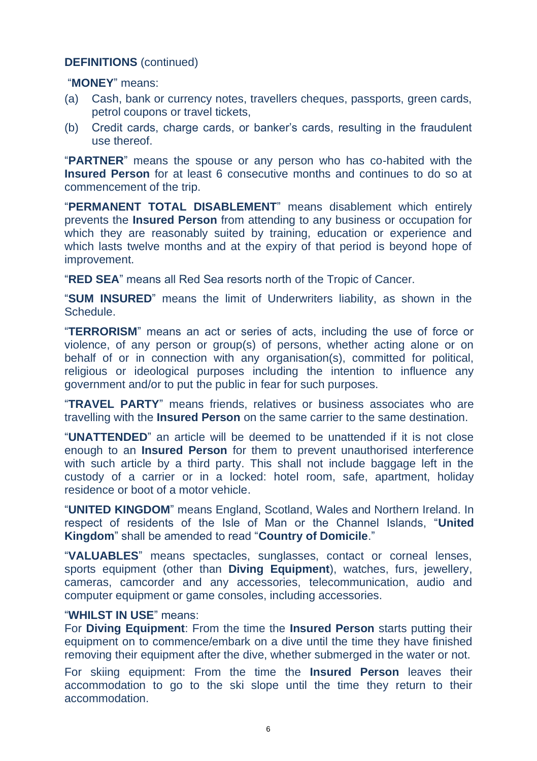#### **DEFINITIONS** (continued)

#### "**MONEY**" means:

- (a) Cash, bank or currency notes, travellers cheques, passports, green cards, petrol coupons or travel tickets,
- (b) Credit cards, charge cards, or banker's cards, resulting in the fraudulent use thereof.

"**PARTNER**" means the spouse or any person who has co-habited with the **Insured Person** for at least 6 consecutive months and continues to do so at commencement of the trip.

"**PERMANENT TOTAL DISABLEMENT**" means disablement which entirely prevents the **Insured Person** from attending to any business or occupation for which they are reasonably suited by training, education or experience and which lasts twelve months and at the expiry of that period is beyond hope of improvement.

"**RED SEA**" means all Red Sea resorts north of the Tropic of Cancer.

"**SUM INSURED**" means the limit of Underwriters liability, as shown in the Schedule.

"**TERRORISM**" means an act or series of acts, including the use of force or violence, of any person or group(s) of persons, whether acting alone or on behalf of or in connection with any organisation(s), committed for political, religious or ideological purposes including the intention to influence any government and/or to put the public in fear for such purposes.

"**TRAVEL PARTY**" means friends, relatives or business associates who are travelling with the **Insured Person** on the same carrier to the same destination.

"**UNATTENDED**" an article will be deemed to be unattended if it is not close enough to an **Insured Person** for them to prevent unauthorised interference with such article by a third party. This shall not include baggage left in the custody of a carrier or in a locked: hotel room, safe, apartment, holiday residence or boot of a motor vehicle.

"**UNITED KINGDOM**" means England, Scotland, Wales and Northern Ireland. In respect of residents of the Isle of Man or the Channel Islands, "**United Kingdom**" shall be amended to read "**Country of Domicile**."

"**VALUABLES**" means spectacles, sunglasses, contact or corneal lenses, sports equipment (other than **Diving Equipment**), watches, furs, jewellery, cameras, camcorder and any accessories, telecommunication, audio and computer equipment or game consoles, including accessories.

#### "**WHILST IN USE**" means:

For **Diving Equipment**: From the time the **Insured Person** starts putting their equipment on to commence/embark on a dive until the time they have finished removing their equipment after the dive, whether submerged in the water or not.

For skiing equipment: From the time the **Insured Person** leaves their accommodation to go to the ski slope until the time they return to their accommodation.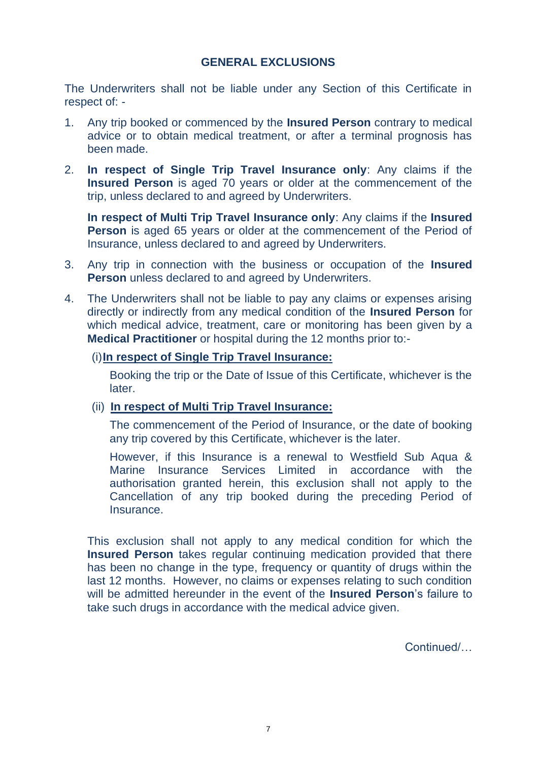## **GENERAL EXCLUSIONS**

The Underwriters shall not be liable under any Section of this Certificate in respect of: -

- 1. Any trip booked or commenced by the **Insured Person** contrary to medical advice or to obtain medical treatment, or after a terminal prognosis has been made.
- 2. **In respect of Single Trip Travel Insurance only**: Any claims if the **Insured Person** is aged 70 years or older at the commencement of the trip, unless declared to and agreed by Underwriters.

**In respect of Multi Trip Travel Insurance only**: Any claims if the **Insured Person** is aged 65 years or older at the commencement of the Period of Insurance, unless declared to and agreed by Underwriters.

- 3. Any trip in connection with the business or occupation of the **Insured Person** unless declared to and agreed by Underwriters.
- 4. The Underwriters shall not be liable to pay any claims or expenses arising directly or indirectly from any medical condition of the **Insured Person** for which medical advice, treatment, care or monitoring has been given by a **Medical Practitioner** or hospital during the 12 months prior to:-

#### (i)**In respect of Single Trip Travel Insurance:**

Booking the trip or the Date of Issue of this Certificate, whichever is the later.

#### (ii) **In respect of Multi Trip Travel Insurance:**

The commencement of the Period of Insurance, or the date of booking any trip covered by this Certificate, whichever is the later.

However, if this Insurance is a renewal to Westfield Sub Aqua & Marine Insurance Services Limited in accordance with the authorisation granted herein, this exclusion shall not apply to the Cancellation of any trip booked during the preceding Period of **Insurance** 

This exclusion shall not apply to any medical condition for which the **Insured Person** takes regular continuing medication provided that there has been no change in the type, frequency or quantity of drugs within the last 12 months. However, no claims or expenses relating to such condition will be admitted hereunder in the event of the **Insured Person**'s failure to take such drugs in accordance with the medical advice given.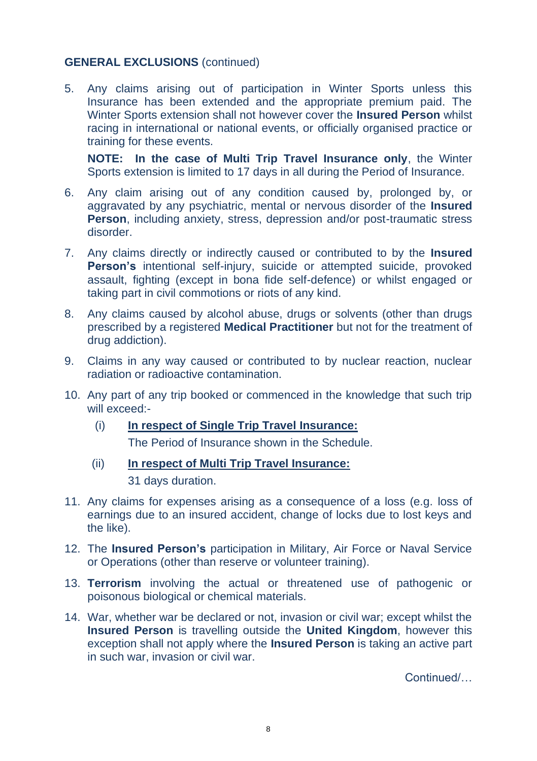## **GENERAL EXCLUSIONS** (continued)

5. Any claims arising out of participation in Winter Sports unless this Insurance has been extended and the appropriate premium paid. The Winter Sports extension shall not however cover the **Insured Person** whilst racing in international or national events, or officially organised practice or training for these events.

**NOTE: In the case of Multi Trip Travel Insurance only**, the Winter Sports extension is limited to 17 days in all during the Period of Insurance.

- 6. Any claim arising out of any condition caused by, prolonged by, or aggravated by any psychiatric, mental or nervous disorder of the **Insured Person**, including anxiety, stress, depression and/or post-traumatic stress disorder.
- 7. Any claims directly or indirectly caused or contributed to by the **Insured Person's** intentional self-injury, suicide or attempted suicide, provoked assault, fighting (except in bona fide self-defence) or whilst engaged or taking part in civil commotions or riots of any kind.
- 8. Any claims caused by alcohol abuse, drugs or solvents (other than drugs prescribed by a registered **Medical Practitioner** but not for the treatment of drug addiction).
- 9. Claims in any way caused or contributed to by nuclear reaction, nuclear radiation or radioactive contamination.
- 10. Any part of any trip booked or commenced in the knowledge that such trip will exceed:-
	- (i) **In respect of Single Trip Travel Insurance:**

The Period of Insurance shown in the Schedule.

(ii) **In respect of Multi Trip Travel Insurance:**

31 days duration.

- 11. Any claims for expenses arising as a consequence of a loss (e.g. loss of earnings due to an insured accident, change of locks due to lost keys and the like).
- 12. The **Insured Person's** participation in Military, Air Force or Naval Service or Operations (other than reserve or volunteer training).
- 13. **Terrorism** involving the actual or threatened use of pathogenic or poisonous biological or chemical materials.
- 14. War, whether war be declared or not, invasion or civil war; except whilst the **Insured Person** is travelling outside the **United Kingdom**, however this exception shall not apply where the **Insured Person** is taking an active part in such war, invasion or civil war.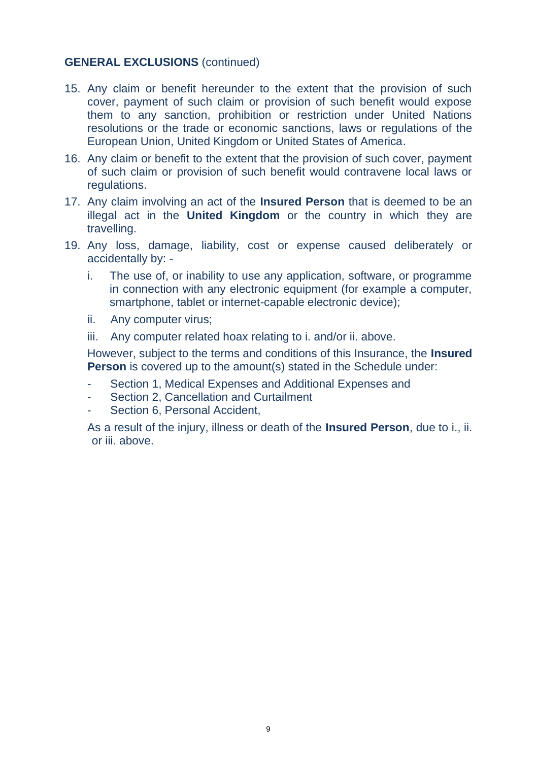## **GENERAL EXCLUSIONS** (continued)

- 15. Any claim or benefit hereunder to the extent that the provision of such cover, payment of such claim or provision of such benefit would expose them to any sanction, prohibition or restriction under United Nations resolutions or the trade or economic sanctions, laws or regulations of the European Union, United Kingdom or United States of America.
- 16. Any claim or benefit to the extent that the provision of such cover, payment of such claim or provision of such benefit would contravene local laws or regulations.
- 17. Any claim involving an act of the **Insured Person** that is deemed to be an illegal act in the **United Kingdom** or the country in which they are travelling.
- 19. Any loss, damage, liability, cost or expense caused deliberately or accidentally by:
	- i. The use of, or inability to use any application, software, or programme in connection with any electronic equipment (for example a computer, smartphone, tablet or internet-capable electronic device);
	- ii. Any computer virus;
	- iii. Any computer related hoax relating to i. and/or ii. above.

However, subject to the terms and conditions of this Insurance, the **Insured Person** is covered up to the amount(s) stated in the Schedule under:

- Section 1, Medical Expenses and Additional Expenses and
- Section 2, Cancellation and Curtailment
- Section 6, Personal Accident,

As a result of the injury, illness or death of the **Insured Person**, due to i., ii. or iii. above.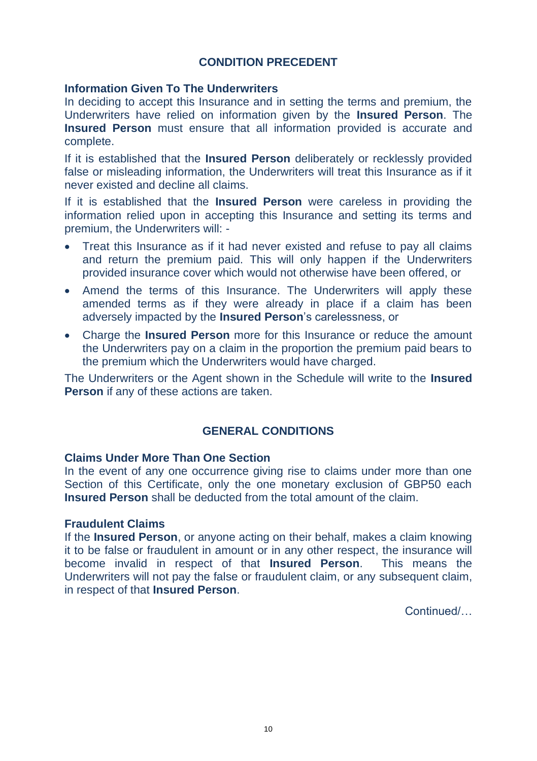## **CONDITION PRECEDENT**

## **Information Given To The Underwriters**

In deciding to accept this Insurance and in setting the terms and premium, the Underwriters have relied on information given by the **Insured Person**. The **Insured Person** must ensure that all information provided is accurate and complete.

If it is established that the **Insured Person** deliberately or recklessly provided false or misleading information, the Underwriters will treat this Insurance as if it never existed and decline all claims.

If it is established that the **Insured Person** were careless in providing the information relied upon in accepting this Insurance and setting its terms and premium, the Underwriters will: -

- Treat this Insurance as if it had never existed and refuse to pay all claims and return the premium paid. This will only happen if the Underwriters provided insurance cover which would not otherwise have been offered, or
- Amend the terms of this Insurance. The Underwriters will apply these amended terms as if they were already in place if a claim has been adversely impacted by the **Insured Person**'s carelessness, or
- Charge the **Insured Person** more for this Insurance or reduce the amount the Underwriters pay on a claim in the proportion the premium paid bears to the premium which the Underwriters would have charged.

The Underwriters or the Agent shown in the Schedule will write to the **Insured Person** if any of these actions are taken.

## **GENERAL CONDITIONS**

#### **Claims Under More Than One Section**

In the event of any one occurrence giving rise to claims under more than one Section of this Certificate, only the one monetary exclusion of GBP50 each **Insured Person** shall be deducted from the total amount of the claim.

## **Fraudulent Claims**

If the **Insured Person**, or anyone acting on their behalf, makes a claim knowing it to be false or fraudulent in amount or in any other respect, the insurance will become invalid in respect of that **Insured Person**. This means the Underwriters will not pay the false or fraudulent claim, or any subsequent claim, in respect of that **Insured Person**.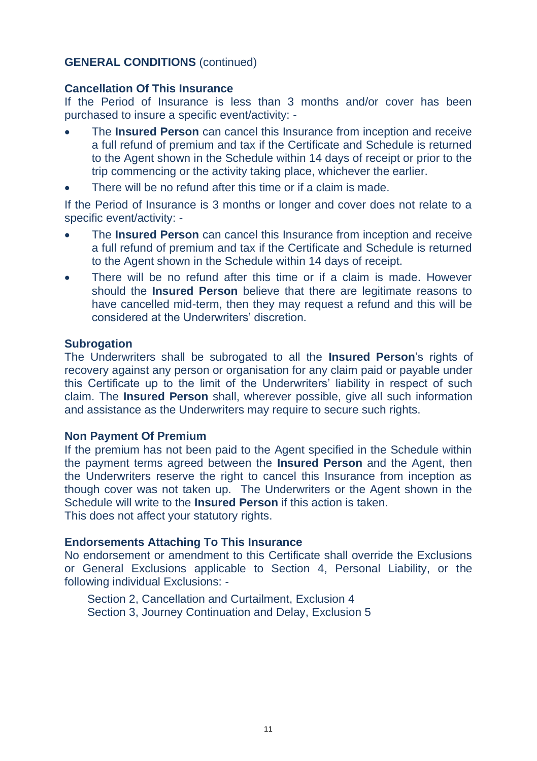## **GENERAL CONDITIONS** (continued)

#### **Cancellation Of This Insurance**

If the Period of Insurance is less than 3 months and/or cover has been purchased to insure a specific event/activity: -

- The **Insured Person** can cancel this Insurance from inception and receive a full refund of premium and tax if the Certificate and Schedule is returned to the Agent shown in the Schedule within 14 days of receipt or prior to the trip commencing or the activity taking place, whichever the earlier.
- There will be no refund after this time or if a claim is made.

If the Period of Insurance is 3 months or longer and cover does not relate to a specific event/activity: -

- The **Insured Person** can cancel this Insurance from inception and receive a full refund of premium and tax if the Certificate and Schedule is returned to the Agent shown in the Schedule within 14 days of receipt.
- There will be no refund after this time or if a claim is made. However should the **Insured Person** believe that there are legitimate reasons to have cancelled mid-term, then they may request a refund and this will be considered at the Underwriters' discretion.

#### **Subrogation**

The Underwriters shall be subrogated to all the **Insured Person**'s rights of recovery against any person or organisation for any claim paid or payable under this Certificate up to the limit of the Underwriters' liability in respect of such claim. The **Insured Person** shall, wherever possible, give all such information and assistance as the Underwriters may require to secure such rights.

#### **Non Payment Of Premium**

If the premium has not been paid to the Agent specified in the Schedule within the payment terms agreed between the **Insured Person** and the Agent, then the Underwriters reserve the right to cancel this Insurance from inception as though cover was not taken up. The Underwriters or the Agent shown in the Schedule will write to the **Insured Person** if this action is taken. This does not affect your statutory rights.

#### **Endorsements Attaching To This Insurance**

No endorsement or amendment to this Certificate shall override the Exclusions or General Exclusions applicable to Section 4, Personal Liability, or the following individual Exclusions: -

Section 2, Cancellation and Curtailment, Exclusion 4 Section 3, Journey Continuation and Delay, Exclusion 5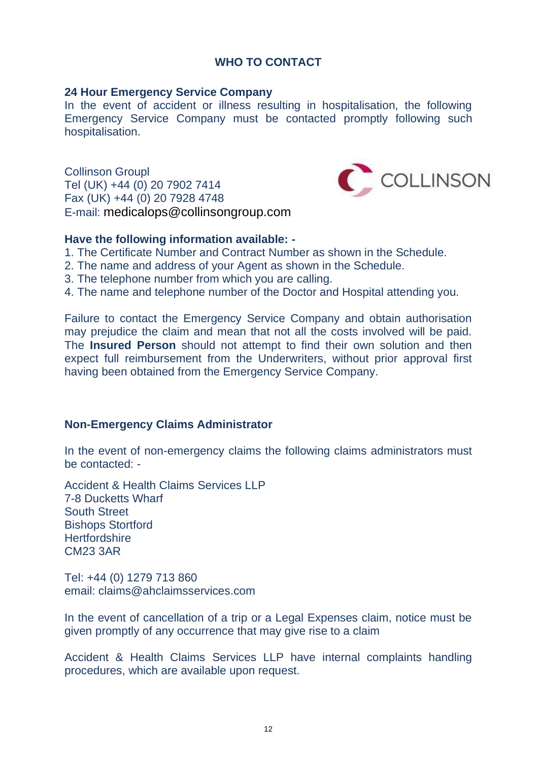## **WHO TO CONTACT**

#### **24 Hour Emergency Service Company**

In the event of accident or illness resulting in hospitalisation, the following Emergency Service Company must be contacted promptly following such hospitalisation.

Collinson Groupl Tel (UK) +44 (0) 20 7902 7414 Fax (UK) +44 (0) 20 7928 4748 E-mail: medicalops@collinsongroup.com



## **Have the following information available: -**

- 1. The Certificate Number and Contract Number as shown in the Schedule.
- 2. The name and address of your Agent as shown in the Schedule.
- 3. The telephone number from which you are calling.
- 4. The name and telephone number of the Doctor and Hospital attending you.

Failure to contact the Emergency Service Company and obtain authorisation may prejudice the claim and mean that not all the costs involved will be paid. The **Insured Person** should not attempt to find their own solution and then expect full reimbursement from the Underwriters, without prior approval first having been obtained from the Emergency Service Company.

## **Non-Emergency Claims Administrator**

In the event of non-emergency claims the following claims administrators must be contacted: -

Accident & Health Claims Services LLP 7-8 Ducketts Wharf South Street Bishops Stortford **Hertfordshire** CM23 3AR

Tel: +44 (0) 1279 713 860 email: claims@ahclaimsservices.com

In the event of cancellation of a trip or a Legal Expenses claim, notice must be given promptly of any occurrence that may give rise to a claim

Accident & Health Claims Services LLP have internal complaints handling procedures, which are available upon request.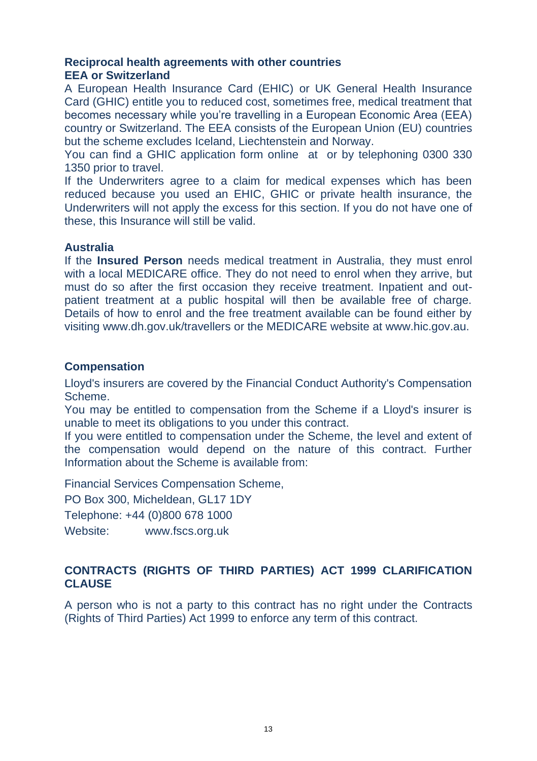## **Reciprocal health agreements with other countries EEA or Switzerland**

A European Health Insurance Card (EHIC) or UK General Health Insurance Card (GHIC) entitle you to reduced cost, sometimes free, medical treatment that becomes necessary while you're travelling in a European Economic Area (EEA) country or Switzerland. The EEA consists of the European Union (EU) countries but the scheme excludes Iceland, Liechtenstein and Norway.

You can find a GHIC application form online at or by telephoning 0300 330 1350 prior to travel.

If the Underwriters agree to a claim for medical expenses which has been reduced because you used an EHIC, GHIC or private health insurance, the Underwriters will not apply the excess for this section. If you do not have one of these, this Insurance will still be valid.

## **Australia**

If the **Insured Person** needs medical treatment in Australia, they must enrol with a local MEDICARE office. They do not need to enrol when they arrive, but must do so after the first occasion they receive treatment. Inpatient and outpatient treatment at a public hospital will then be available free of charge. Details of how to enrol and the free treatment available can be found either by visiting www.dh.gov.uk/travellers or the MEDICARE website at www.hic.gov.au.

## **Compensation**

Lloyd's insurers are covered by the Financial Conduct Authority's Compensation Scheme.

You may be entitled to compensation from the Scheme if a Lloyd's insurer is unable to meet its obligations to you under this contract.

If you were entitled to compensation under the Scheme, the level and extent of the compensation would depend on the nature of this contract. Further Information about the Scheme is available from:

Financial Services Compensation Scheme,

PO Box 300, Micheldean, GL17 1DY

Telephone: +44 (0)800 678 1000

Website: www.fscs.org.uk

## **CONTRACTS (RIGHTS OF THIRD PARTIES) ACT 1999 CLARIFICATION CLAUSE**

A person who is not a party to this contract has no right under the Contracts (Rights of Third Parties) Act 1999 to enforce any term of this contract.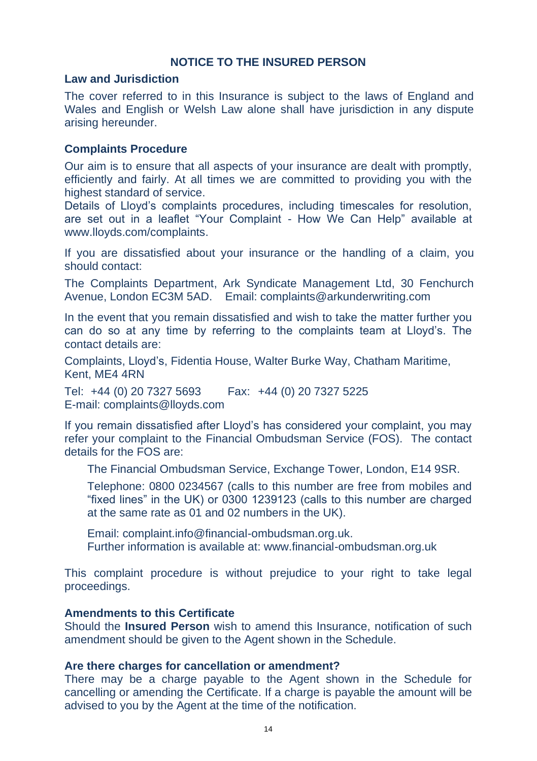## **NOTICE TO THE INSURED PERSON**

#### **Law and Jurisdiction**

The cover referred to in this Insurance is subject to the laws of England and Wales and English or Welsh Law alone shall have jurisdiction in any dispute arising hereunder.

#### **Complaints Procedure**

Our aim is to ensure that all aspects of your insurance are dealt with promptly, efficiently and fairly. At all times we are committed to providing you with the highest standard of service.

Details of Lloyd's complaints procedures, including timescales for resolution, are set out in a leaflet "Your Complaint - How We Can Help" available at www.lloyds.com/complaints.

If you are dissatisfied about your insurance or the handling of a claim, you should contact:

The Complaints Department, Ark Syndicate Management Ltd, 30 Fenchurch Avenue, London EC3M 5AD. Email: complaints@arkunderwriting.com

In the event that you remain dissatisfied and wish to take the matter further you can do so at any time by referring to the complaints team at Lloyd's. The contact details are:

Complaints, Lloyd's, Fidentia House, Walter Burke Way, Chatham Maritime, Kent, ME4 4RN

Tel: +44 (0) 20 7327 5693 Fax: +44 (0) 20 7327 5225 E-mail: complaints@lloyds.com

If you remain dissatisfied after Lloyd's has considered your complaint, you may refer your complaint to the Financial Ombudsman Service (FOS). The contact details for the FOS are:

The Financial Ombudsman Service, Exchange Tower, London, E14 9SR.

Telephone: 0800 0234567 (calls to this number are free from mobiles and "fixed lines" in the UK) or 0300 1239123 (calls to this number are charged at the same rate as 01 and 02 numbers in the UK).

Email: complaint.info@financial-ombudsman.org.uk. Further information is available at: www.financial-ombudsman.org.uk

This complaint procedure is without prejudice to your right to take legal proceedings.

#### **Amendments to this Certificate**

Should the **Insured Person** wish to amend this Insurance, notification of such amendment should be given to the Agent shown in the Schedule.

#### **Are there charges for cancellation or amendment?**

There may be a charge payable to the Agent shown in the Schedule for cancelling or amending the Certificate. If a charge is payable the amount will be advised to you by the Agent at the time of the notification.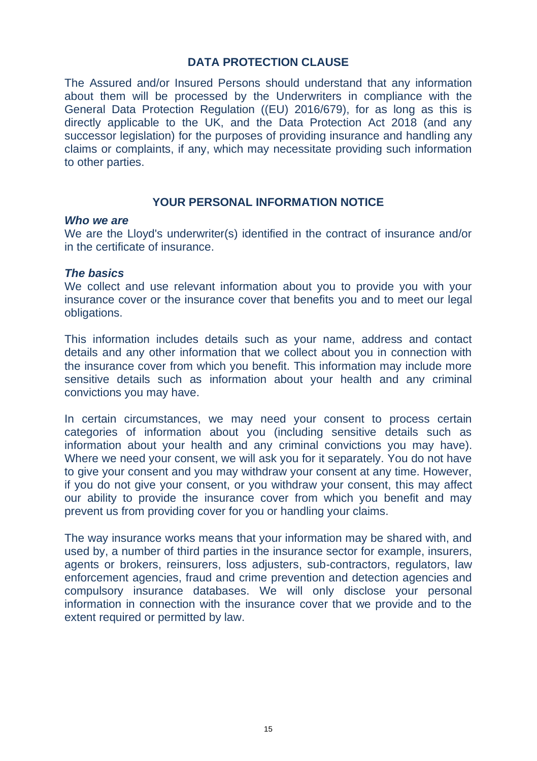## **DATA PROTECTION CLAUSE**

The Assured and/or Insured Persons should understand that any information about them will be processed by the Underwriters in compliance with the General Data Protection Regulation ((EU) 2016/679), for as long as this is directly applicable to the UK, and the Data Protection Act 2018 (and any successor legislation) for the purposes of providing insurance and handling any claims or complaints, if any, which may necessitate providing such information to other parties.

## **YOUR PERSONAL INFORMATION NOTICE**

#### *Who we are*

We are the Lloyd's underwriter(s) identified in the contract of insurance and/or in the certificate of insurance.

#### *The basics*

We collect and use relevant information about you to provide you with your insurance cover or the insurance cover that benefits you and to meet our legal obligations.

This information includes details such as your name, address and contact details and any other information that we collect about you in connection with the insurance cover from which you benefit. This information may include more sensitive details such as information about your health and any criminal convictions you may have.

In certain circumstances, we may need your consent to process certain categories of information about you (including sensitive details such as information about your health and any criminal convictions you may have). Where we need your consent, we will ask you for it separately. You do not have to give your consent and you may withdraw your consent at any time. However, if you do not give your consent, or you withdraw your consent, this may affect our ability to provide the insurance cover from which you benefit and may prevent us from providing cover for you or handling your claims.

The way insurance works means that your information may be shared with, and used by, a number of third parties in the insurance sector for example, insurers, agents or brokers, reinsurers, loss adjusters, sub-contractors, regulators, law enforcement agencies, fraud and crime prevention and detection agencies and compulsory insurance databases. We will only disclose your personal information in connection with the insurance cover that we provide and to the extent required or permitted by law.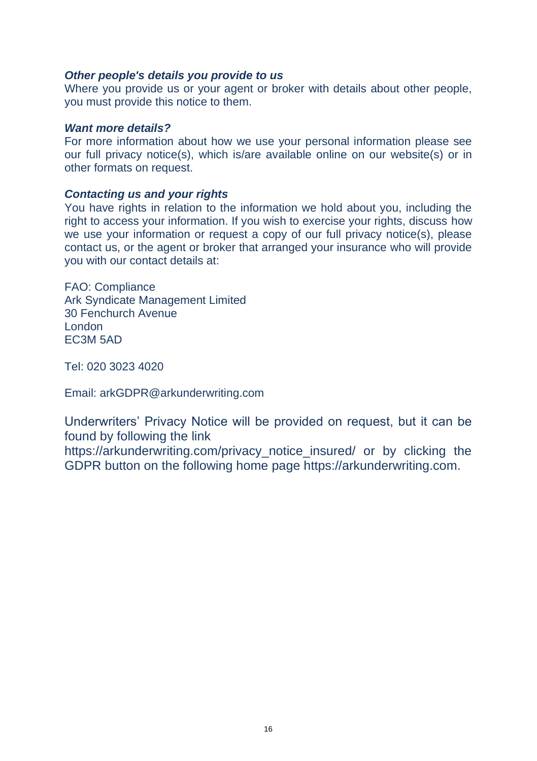#### *Other people's details you provide to us*

Where you provide us or your agent or broker with details about other people. you must provide this notice to them.

#### *Want more details?*

For more information about how we use your personal information please see our full privacy notice(s), which is/are available online on our website(s) or in other formats on request.

#### *Contacting us and your rights*

You have rights in relation to the information we hold about you, including the right to access your information. If you wish to exercise your rights, discuss how we use your information or request a copy of our full privacy notice(s), please contact us, or the agent or broker that arranged your insurance who will provide you with our contact details at:

FAO: Compliance Ark Syndicate Management Limited 30 Fenchurch Avenue London EC3M 5AD

Tel: 020 3023 4020

Email: arkGDPR@arkunderwriting.com

Underwriters' Privacy Notice will be provided on request, but it can be found by following the link

https://arkunderwriting.com/privacy\_notice\_insured/ or by clicking the GDPR button on the following home page https://arkunderwriting.com.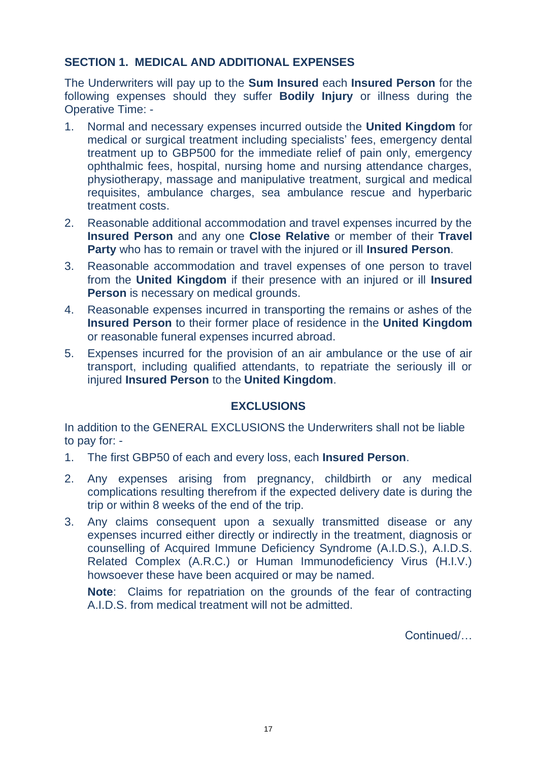## **SECTION 1. MEDICAL AND ADDITIONAL EXPENSES**

The Underwriters will pay up to the **Sum Insured** each **Insured Person** for the following expenses should they suffer **Bodily Injury** or illness during the Operative Time: -

- 1. Normal and necessary expenses incurred outside the **United Kingdom** for medical or surgical treatment including specialists' fees, emergency dental treatment up to GBP500 for the immediate relief of pain only, emergency ophthalmic fees, hospital, nursing home and nursing attendance charges, physiotherapy, massage and manipulative treatment, surgical and medical requisites, ambulance charges, sea ambulance rescue and hyperbaric treatment costs.
- 2. Reasonable additional accommodation and travel expenses incurred by the **Insured Person** and any one **Close Relative** or member of their **Travel Party** who has to remain or travel with the injured or ill **Insured Person**.
- 3. Reasonable accommodation and travel expenses of one person to travel from the **United Kingdom** if their presence with an injured or ill **Insured Person** is necessary on medical grounds.
- 4. Reasonable expenses incurred in transporting the remains or ashes of the **Insured Person** to their former place of residence in the **United Kingdom** or reasonable funeral expenses incurred abroad.
- 5. Expenses incurred for the provision of an air ambulance or the use of air transport, including qualified attendants, to repatriate the seriously ill or injured **Insured Person** to the **United Kingdom**.

## **EXCLUSIONS**

In addition to the GENERAL EXCLUSIONS the Underwriters shall not be liable to pay for: -

- 1. The first GBP50 of each and every loss, each **Insured Person**.
- 2. Any expenses arising from pregnancy, childbirth or any medical complications resulting therefrom if the expected delivery date is during the trip or within 8 weeks of the end of the trip.
- 3. Any claims consequent upon a sexually transmitted disease or any expenses incurred either directly or indirectly in the treatment, diagnosis or counselling of Acquired Immune Deficiency Syndrome (A.I.D.S.), A.I.D.S. Related Complex (A.R.C.) or Human Immunodeficiency Virus (H.I.V.) howsoever these have been acquired or may be named.

**Note**: Claims for repatriation on the grounds of the fear of contracting A.I.D.S. from medical treatment will not be admitted.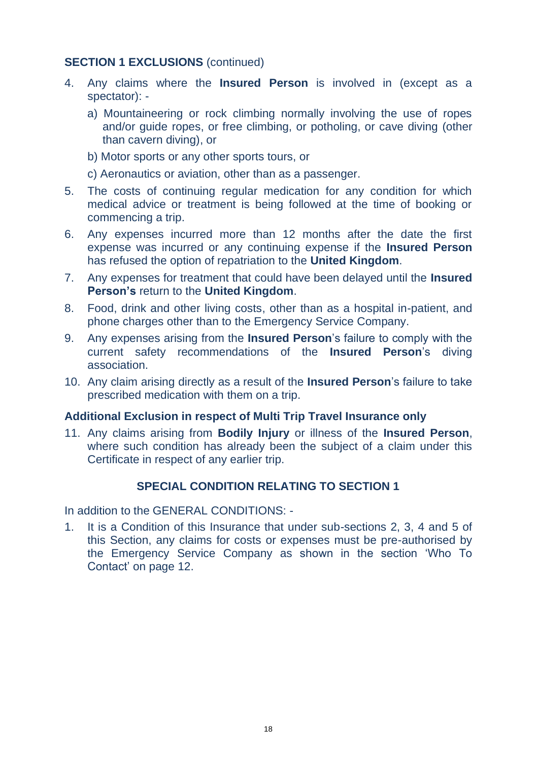## **SECTION 1 EXCLUSIONS (continued)**

- 4. Any claims where the **Insured Person** is involved in (except as a spectator):
	- a) Mountaineering or rock climbing normally involving the use of ropes and/or guide ropes, or free climbing, or potholing, or cave diving (other than cavern diving), or
	- b) Motor sports or any other sports tours, or
	- c) Aeronautics or aviation, other than as a passenger.
- 5. The costs of continuing regular medication for any condition for which medical advice or treatment is being followed at the time of booking or commencing a trip.
- 6. Any expenses incurred more than 12 months after the date the first expense was incurred or any continuing expense if the **Insured Person** has refused the option of repatriation to the **United Kingdom**.
- 7. Any expenses for treatment that could have been delayed until the **Insured Person's** return to the **United Kingdom**.
- 8. Food, drink and other living costs, other than as a hospital in-patient, and phone charges other than to the Emergency Service Company.
- 9. Any expenses arising from the **Insured Person**'s failure to comply with the current safety recommendations of the **Insured Person**'s diving association.
- 10. Any claim arising directly as a result of the **Insured Person**'s failure to take prescribed medication with them on a trip.

## **Additional Exclusion in respect of Multi Trip Travel Insurance only**

11. Any claims arising from **Bodily Injury** or illness of the **Insured Person**, where such condition has already been the subject of a claim under this Certificate in respect of any earlier trip.

## **SPECIAL CONDITION RELATING TO SECTION 1**

In addition to the GENERAL CONDITIONS: -

1. It is a Condition of this Insurance that under sub-sections 2, 3, 4 and 5 of this Section, any claims for costs or expenses must be pre-authorised by the Emergency Service Company as shown in the section 'Who To Contact' on page 12.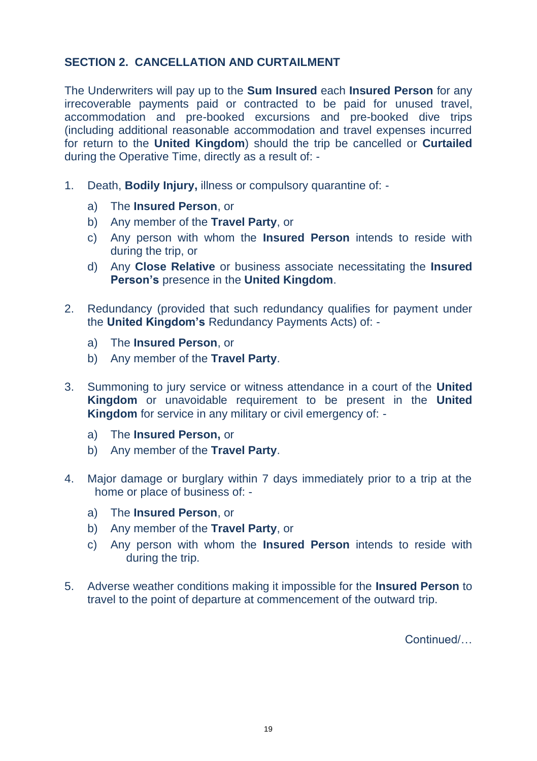## **SECTION 2. CANCELLATION AND CURTAILMENT**

The Underwriters will pay up to the **Sum Insured** each **Insured Person** for any irrecoverable payments paid or contracted to be paid for unused travel, accommodation and pre-booked excursions and pre-booked dive trips (including additional reasonable accommodation and travel expenses incurred for return to the **United Kingdom**) should the trip be cancelled or **Curtailed** during the Operative Time, directly as a result of: -

- 1. Death, **Bodily Injury,** illness or compulsory quarantine of:
	- a) The **Insured Person**, or
	- b) Any member of the **Travel Party**, or
	- c) Any person with whom the **Insured Person** intends to reside with during the trip, or
	- d) Any **Close Relative** or business associate necessitating the **Insured Person's** presence in the **United Kingdom**.
- 2. Redundancy (provided that such redundancy qualifies for payment under the **United Kingdom's** Redundancy Payments Acts) of:
	- a) The **Insured Person**, or
	- b) Any member of the **Travel Party**.
- 3. Summoning to jury service or witness attendance in a court of the **United Kingdom** or unavoidable requirement to be present in the **United Kingdom** for service in any military or civil emergency of:
	- a) The **Insured Person,** or
	- b) Any member of the **Travel Party**.
- 4. Major damage or burglary within 7 days immediately prior to a trip at the home or place of business of:
	- a) The **Insured Person**, or
	- b) Any member of the **Travel Party**, or
	- c) Any person with whom the **Insured Person** intends to reside with during the trip.
- 5. Adverse weather conditions making it impossible for the **Insured Person** to travel to the point of departure at commencement of the outward trip.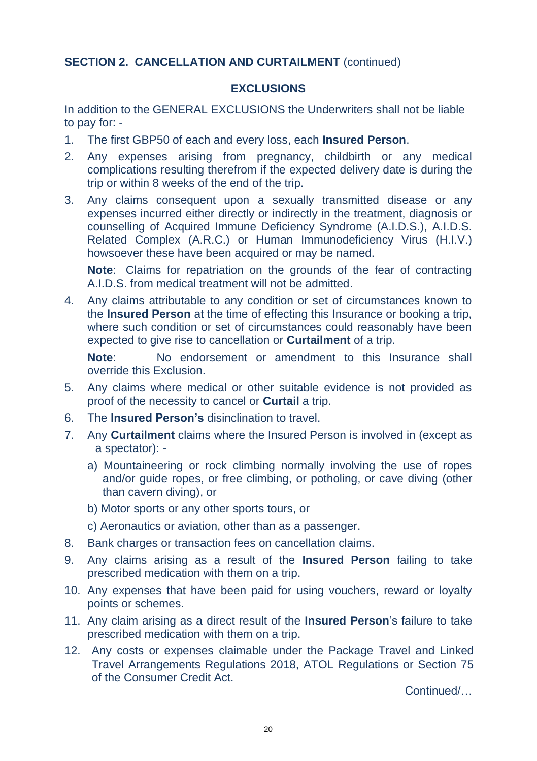## **SECTION 2. CANCELLATION AND CURTAILMENT (continued)**

## **EXCLUSIONS**

In addition to the GENERAL EXCLUSIONS the Underwriters shall not be liable to pay for: -

- 1. The first GBP50 of each and every loss, each **Insured Person**.
- 2. Any expenses arising from pregnancy, childbirth or any medical complications resulting therefrom if the expected delivery date is during the trip or within 8 weeks of the end of the trip.
- 3. Any claims consequent upon a sexually transmitted disease or any expenses incurred either directly or indirectly in the treatment, diagnosis or counselling of Acquired Immune Deficiency Syndrome (A.I.D.S.), A.I.D.S. Related Complex (A.R.C.) or Human Immunodeficiency Virus (H.I.V.) howsoever these have been acquired or may be named.

**Note**: Claims for repatriation on the grounds of the fear of contracting A.I.D.S. from medical treatment will not be admitted.

4. Any claims attributable to any condition or set of circumstances known to the **Insured Person** at the time of effecting this Insurance or booking a trip, where such condition or set of circumstances could reasonably have been expected to give rise to cancellation or **Curtailment** of a trip.

**Note**: No endorsement or amendment to this Insurance shall override this Exclusion.

- 5. Any claims where medical or other suitable evidence is not provided as proof of the necessity to cancel or **Curtail** a trip.
- 6. The **Insured Person's** disinclination to travel.
- 7. Any **Curtailment** claims where the Insured Person is involved in (except as a spectator):
	- a) Mountaineering or rock climbing normally involving the use of ropes and/or guide ropes, or free climbing, or potholing, or cave diving (other than cavern diving), or
	- b) Motor sports or any other sports tours, or
	- c) Aeronautics or aviation, other than as a passenger.
- 8. Bank charges or transaction fees on cancellation claims.
- 9. Any claims arising as a result of the **Insured Person** failing to take prescribed medication with them on a trip.
- 10. Any expenses that have been paid for using vouchers, reward or loyalty points or schemes.
- 11. Any claim arising as a direct result of the **Insured Person**'s failure to take prescribed medication with them on a trip.
- 12. Any costs or expenses claimable under the Package Travel and Linked Travel Arrangements Regulations 2018, ATOL Regulations or Section 75 of the Consumer Credit Act.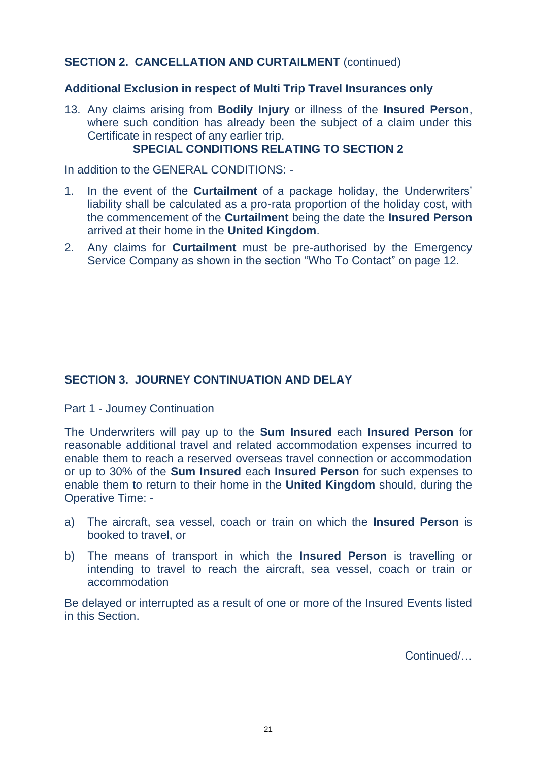## **SECTION 2. CANCELLATION AND CURTAILMENT (continued)**

## **Additional Exclusion in respect of Multi Trip Travel Insurances only**

13. Any claims arising from **Bodily Injury** or illness of the **Insured Person**, where such condition has already been the subject of a claim under this Certificate in respect of any earlier trip.

## **SPECIAL CONDITIONS RELATING TO SECTION 2**

In addition to the GENERAL CONDITIONS: -

- 1. In the event of the **Curtailment** of a package holiday, the Underwriters' liability shall be calculated as a pro-rata proportion of the holiday cost, with the commencement of the **Curtailment** being the date the **Insured Person** arrived at their home in the **United Kingdom**.
- 2. Any claims for **Curtailment** must be pre-authorised by the Emergency Service Company as shown in the section "Who To Contact" on page 12.

## **SECTION 3. JOURNEY CONTINUATION AND DELAY**

Part 1 - Journey Continuation

The Underwriters will pay up to the **Sum Insured** each **Insured Person** for reasonable additional travel and related accommodation expenses incurred to enable them to reach a reserved overseas travel connection or accommodation or up to 30% of the **Sum Insured** each **Insured Person** for such expenses to enable them to return to their home in the **United Kingdom** should, during the Operative Time: -

- a) The aircraft, sea vessel, coach or train on which the **Insured Person** is booked to travel, or
- b) The means of transport in which the **Insured Person** is travelling or intending to travel to reach the aircraft, sea vessel, coach or train or accommodation

Be delayed or interrupted as a result of one or more of the Insured Events listed in this Section.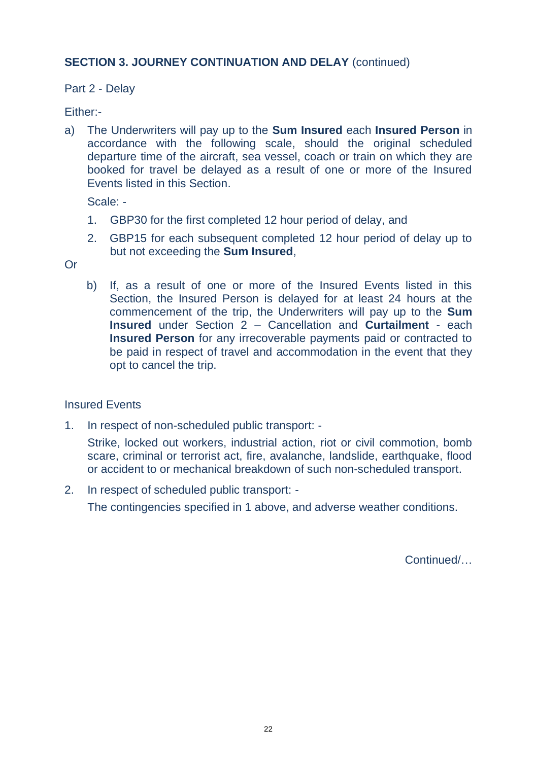## **SECTION 3. JOURNEY CONTINUATION AND DELAY (continued)**

## Part 2 - Delay

## Either:-

a) The Underwriters will pay up to the **Sum Insured** each **Insured Person** in accordance with the following scale, should the original scheduled departure time of the aircraft, sea vessel, coach or train on which they are booked for travel be delayed as a result of one or more of the Insured Events listed in this Section.

Scale: -

- 1. GBP30 for the first completed 12 hour period of delay, and
- 2. GBP15 for each subsequent completed 12 hour period of delay up to but not exceeding the **Sum Insured**,

Or

b) If, as a result of one or more of the Insured Events listed in this Section, the Insured Person is delayed for at least 24 hours at the commencement of the trip, the Underwriters will pay up to the **Sum Insured** under Section 2 – Cancellation and **Curtailment** - each **Insured Person** for any irrecoverable payments paid or contracted to be paid in respect of travel and accommodation in the event that they opt to cancel the trip.

#### Insured Events

1. In respect of non-scheduled public transport: -

Strike, locked out workers, industrial action, riot or civil commotion, bomb scare, criminal or terrorist act, fire, avalanche, landslide, earthquake, flood or accident to or mechanical breakdown of such non-scheduled transport.

2. In respect of scheduled public transport: - The contingencies specified in 1 above, and adverse weather conditions.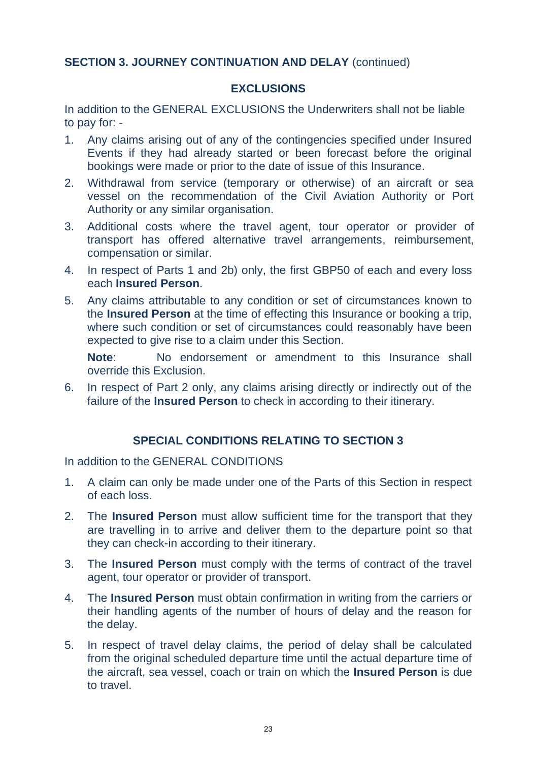## **SECTION 3. JOURNEY CONTINUATION AND DELAY (continued)**

## **EXCLUSIONS**

In addition to the GENERAL EXCLUSIONS the Underwriters shall not be liable to pay for: -

- 1. Any claims arising out of any of the contingencies specified under Insured Events if they had already started or been forecast before the original bookings were made or prior to the date of issue of this Insurance.
- 2. Withdrawal from service (temporary or otherwise) of an aircraft or sea vessel on the recommendation of the Civil Aviation Authority or Port Authority or any similar organisation.
- 3. Additional costs where the travel agent, tour operator or provider of transport has offered alternative travel arrangements, reimbursement, compensation or similar.
- 4. In respect of Parts 1 and 2b) only, the first GBP50 of each and every loss each **Insured Person**.
- 5. Any claims attributable to any condition or set of circumstances known to the **Insured Person** at the time of effecting this Insurance or booking a trip, where such condition or set of circumstances could reasonably have been expected to give rise to a claim under this Section.

**Note**: No endorsement or amendment to this Insurance shall override this Exclusion.

6. In respect of Part 2 only, any claims arising directly or indirectly out of the failure of the **Insured Person** to check in according to their itinerary.

## **SPECIAL CONDITIONS RELATING TO SECTION 3**

In addition to the GENERAL CONDITIONS

- 1. A claim can only be made under one of the Parts of this Section in respect of each loss.
- 2. The **Insured Person** must allow sufficient time for the transport that they are travelling in to arrive and deliver them to the departure point so that they can check-in according to their itinerary.
- 3. The **Insured Person** must comply with the terms of contract of the travel agent, tour operator or provider of transport.
- 4. The **Insured Person** must obtain confirmation in writing from the carriers or their handling agents of the number of hours of delay and the reason for the delay.
- 5. In respect of travel delay claims, the period of delay shall be calculated from the original scheduled departure time until the actual departure time of the aircraft, sea vessel, coach or train on which the **Insured Person** is due to travel.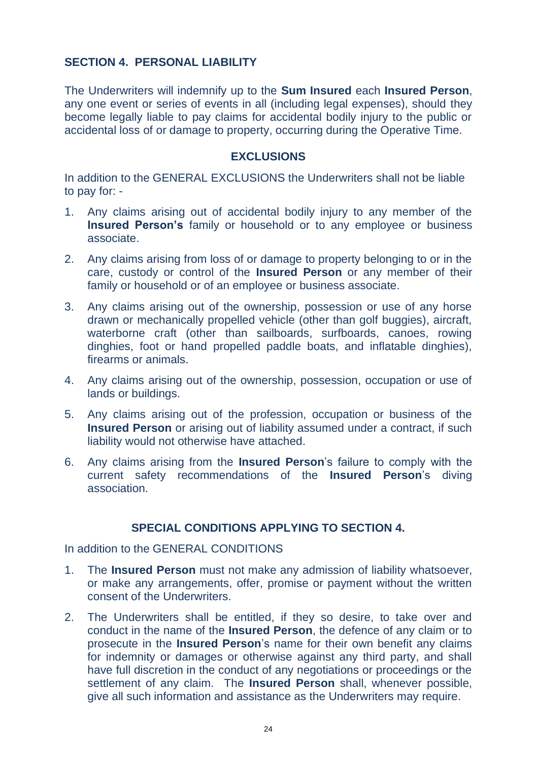## **SECTION 4. PERSONAL LIABILITY**

The Underwriters will indemnify up to the **Sum Insured** each **Insured Person**, any one event or series of events in all (including legal expenses), should they become legally liable to pay claims for accidental bodily injury to the public or accidental loss of or damage to property, occurring during the Operative Time.

#### **EXCLUSIONS**

In addition to the GENERAL EXCLUSIONS the Underwriters shall not be liable to pay for: -

- 1. Any claims arising out of accidental bodily injury to any member of the **Insured Person's** family or household or to any employee or business associate.
- 2. Any claims arising from loss of or damage to property belonging to or in the care, custody or control of the **Insured Person** or any member of their family or household or of an employee or business associate.
- 3. Any claims arising out of the ownership, possession or use of any horse drawn or mechanically propelled vehicle (other than golf buggies), aircraft, waterborne craft (other than sailboards, surfboards, canoes, rowing dinghies, foot or hand propelled paddle boats, and inflatable dinghies), firearms or animals.
- 4. Any claims arising out of the ownership, possession, occupation or use of lands or buildings.
- 5. Any claims arising out of the profession, occupation or business of the **Insured Person** or arising out of liability assumed under a contract, if such liability would not otherwise have attached.
- 6. Any claims arising from the **Insured Person**'s failure to comply with the current safety recommendations of the **Insured Person**'s diving association.

## **SPECIAL CONDITIONS APPLYING TO SECTION 4.**

In addition to the GENERAL CONDITIONS

- 1. The **Insured Person** must not make any admission of liability whatsoever, or make any arrangements, offer, promise or payment without the written consent of the Underwriters.
- 2. The Underwriters shall be entitled, if they so desire, to take over and conduct in the name of the **Insured Person**, the defence of any claim or to prosecute in the **Insured Person**'s name for their own benefit any claims for indemnity or damages or otherwise against any third party, and shall have full discretion in the conduct of any negotiations or proceedings or the settlement of any claim. The **Insured Person** shall, whenever possible, give all such information and assistance as the Underwriters may require.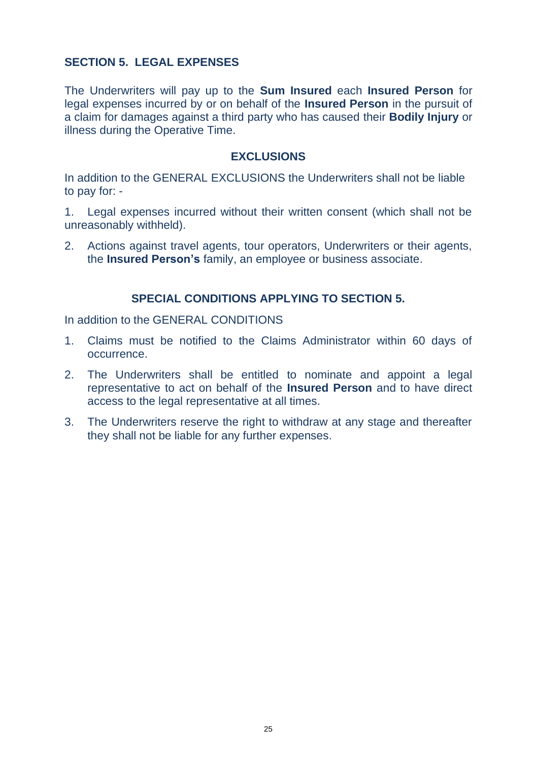## **SECTION 5. LEGAL EXPENSES**

The Underwriters will pay up to the **Sum Insured** each **Insured Person** for legal expenses incurred by or on behalf of the **Insured Person** in the pursuit of a claim for damages against a third party who has caused their **Bodily Injury** or illness during the Operative Time.

## **EXCLUSIONS**

In addition to the GENERAL EXCLUSIONS the Underwriters shall not be liable to pay for: -

1. Legal expenses incurred without their written consent (which shall not be unreasonably withheld).

2. Actions against travel agents, tour operators, Underwriters or their agents, the **Insured Person's** family, an employee or business associate.

## **SPECIAL CONDITIONS APPLYING TO SECTION 5.**

In addition to the GENERAL CONDITIONS

- 1. Claims must be notified to the Claims Administrator within 60 days of occurrence.
- 2. The Underwriters shall be entitled to nominate and appoint a legal representative to act on behalf of the **Insured Person** and to have direct access to the legal representative at all times.
- 3. The Underwriters reserve the right to withdraw at any stage and thereafter they shall not be liable for any further expenses.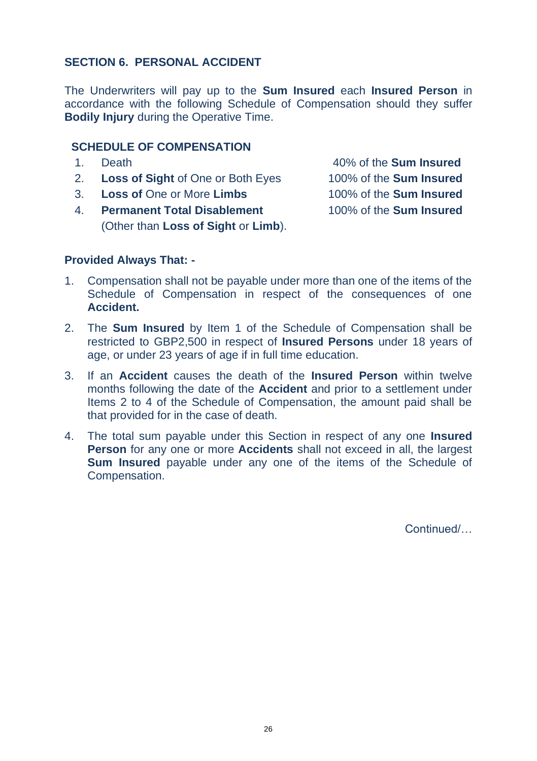## **SECTION 6. PERSONAL ACCIDENT**

The Underwriters will pay up to the **Sum Insured** each **Insured Person** in accordance with the following Schedule of Compensation should they suffer **Bodily Injury** during the Operative Time.

## **SCHEDULE OF COMPENSATION**

1. Death 40% of the **Sum Insured** 2. **Loss of Sight** of One or Both Eyes 100% of the **Sum Insured** 3. **Loss of** One or More **Limbs** 100% of the **Sum Insured** 4. **Permanent Total Disablement** 100% of the **Sum Insured** (Other than **Loss of Sight** or **Limb**).

## **Provided Always That: -**

- 1. Compensation shall not be payable under more than one of the items of the Schedule of Compensation in respect of the consequences of one **Accident.**
- 2. The **Sum Insured** by Item 1 of the Schedule of Compensation shall be restricted to GBP2,500 in respect of **Insured Persons** under 18 years of age, or under 23 years of age if in full time education.
- 3. If an **Accident** causes the death of the **Insured Person** within twelve months following the date of the **Accident** and prior to a settlement under Items 2 to 4 of the Schedule of Compensation, the amount paid shall be that provided for in the case of death.
- 4. The total sum payable under this Section in respect of any one **Insured Person** for any one or more **Accidents** shall not exceed in all, the largest **Sum Insured** payable under any one of the items of the Schedule of Compensation.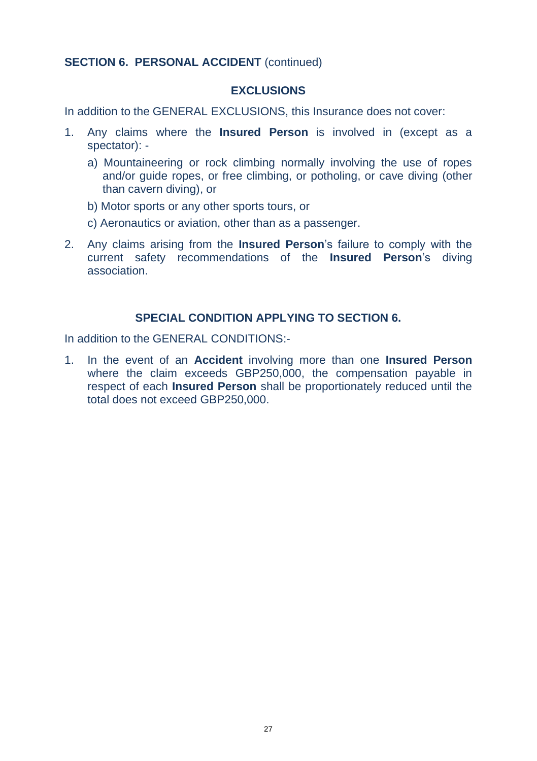## **SECTION 6. PERSONAL ACCIDENT** (continued)

#### **EXCLUSIONS**

In addition to the GENERAL EXCLUSIONS, this Insurance does not cover:

- 1. Any claims where the **Insured Person** is involved in (except as a spectator):
	- a) Mountaineering or rock climbing normally involving the use of ropes and/or guide ropes, or free climbing, or potholing, or cave diving (other than cavern diving), or
	- b) Motor sports or any other sports tours, or
	- c) Aeronautics or aviation, other than as a passenger.
- 2. Any claims arising from the **Insured Person**'s failure to comply with the current safety recommendations of the **Insured Person**'s diving association.

## **SPECIAL CONDITION APPLYING TO SECTION 6.**

In addition to the GENERAL CONDITIONS:-

1. In the event of an **Accident** involving more than one **Insured Person** where the claim exceeds GBP250,000, the compensation payable in respect of each **Insured Person** shall be proportionately reduced until the total does not exceed GBP250,000.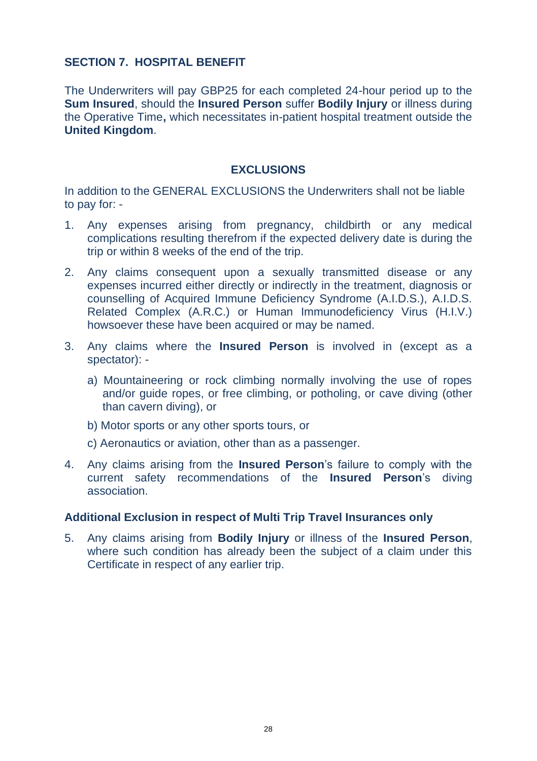## **SECTION 7. HOSPITAL BENEFIT**

The Underwriters will pay GBP25 for each completed 24-hour period up to the **Sum Insured**, should the **Insured Person** suffer **Bodily Injury** or illness during the Operative Time**,** which necessitates in-patient hospital treatment outside the **United Kingdom**.

#### **EXCLUSIONS**

In addition to the GENERAL EXCLUSIONS the Underwriters shall not be liable to pay for: -

- 1. Any expenses arising from pregnancy, childbirth or any medical complications resulting therefrom if the expected delivery date is during the trip or within 8 weeks of the end of the trip.
- 2. Any claims consequent upon a sexually transmitted disease or any expenses incurred either directly or indirectly in the treatment, diagnosis or counselling of Acquired Immune Deficiency Syndrome (A.I.D.S.), A.I.D.S. Related Complex (A.R.C.) or Human Immunodeficiency Virus (H.I.V.) howsoever these have been acquired or may be named.
- 3. Any claims where the **Insured Person** is involved in (except as a spectator):
	- a) Mountaineering or rock climbing normally involving the use of ropes and/or guide ropes, or free climbing, or potholing, or cave diving (other than cavern diving), or
	- b) Motor sports or any other sports tours, or
	- c) Aeronautics or aviation, other than as a passenger.
- 4. Any claims arising from the **Insured Person**'s failure to comply with the current safety recommendations of the **Insured Person**'s diving association.

#### **Additional Exclusion in respect of Multi Trip Travel Insurances only**

5. Any claims arising from **Bodily Injury** or illness of the **Insured Person**, where such condition has already been the subject of a claim under this Certificate in respect of any earlier trip.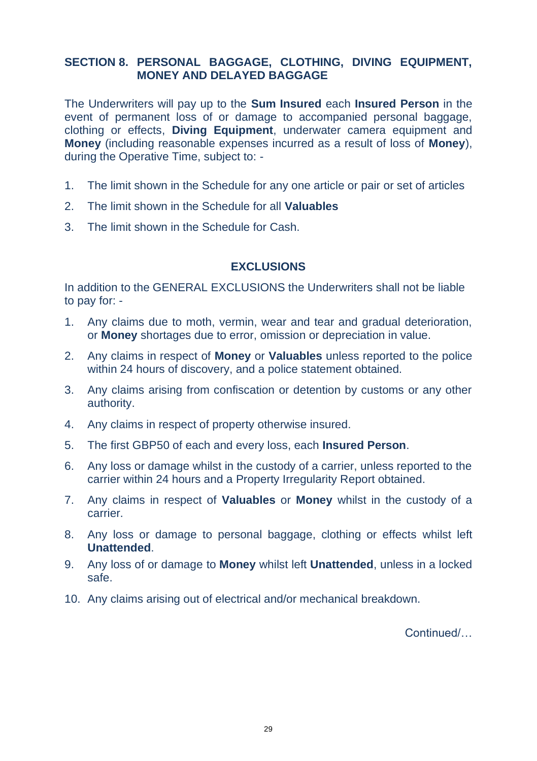## **SECTION 8. PERSONAL BAGGAGE, CLOTHING, DIVING EQUIPMENT, MONEY AND DELAYED BAGGAGE**

The Underwriters will pay up to the **Sum Insured** each **Insured Person** in the event of permanent loss of or damage to accompanied personal baggage. clothing or effects, **Diving Equipment**, underwater camera equipment and **Money** (including reasonable expenses incurred as a result of loss of **Money**), during the Operative Time, subject to: -

- 1. The limit shown in the Schedule for any one article or pair or set of articles
- 2. The limit shown in the Schedule for all **Valuables**
- 3. The limit shown in the Schedule for Cash.

## **EXCLUSIONS**

In addition to the GENERAL EXCLUSIONS the Underwriters shall not be liable to pay for: -

- 1. Any claims due to moth, vermin, wear and tear and gradual deterioration, or **Money** shortages due to error, omission or depreciation in value.
- 2. Any claims in respect of **Money** or **Valuables** unless reported to the police within 24 hours of discovery, and a police statement obtained.
- 3. Any claims arising from confiscation or detention by customs or any other authority.
- 4. Any claims in respect of property otherwise insured.
- 5. The first GBP50 of each and every loss, each **Insured Person**.
- 6. Any loss or damage whilst in the custody of a carrier, unless reported to the carrier within 24 hours and a Property Irregularity Report obtained.
- 7. Any claims in respect of **Valuables** or **Money** whilst in the custody of a carrier.
- 8. Any loss or damage to personal baggage, clothing or effects whilst left **Unattended**.
- 9. Any loss of or damage to **Money** whilst left **Unattended**, unless in a locked safe.
- 10. Any claims arising out of electrical and/or mechanical breakdown.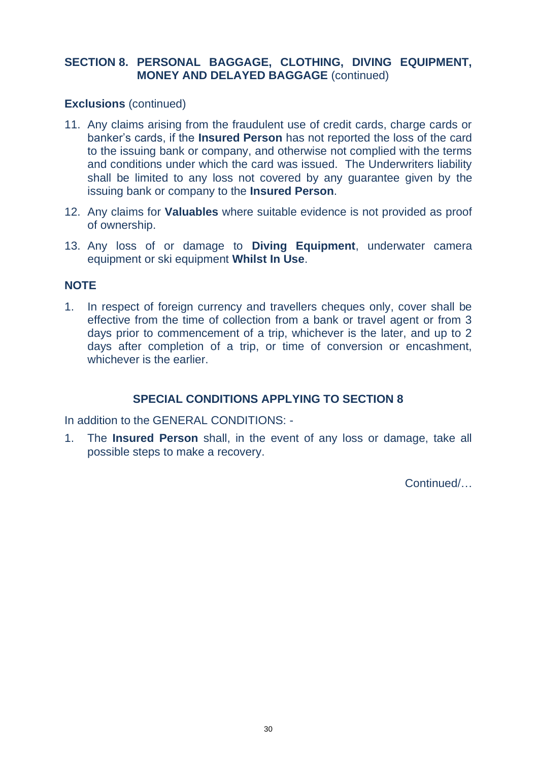## **SECTION 8. PERSONAL BAGGAGE, CLOTHING, DIVING EQUIPMENT, MONEY AND DELAYED BAGGAGE** (continued)

## **Exclusions** (continued)

- 11. Any claims arising from the fraudulent use of credit cards, charge cards or banker's cards, if the **Insured Person** has not reported the loss of the card to the issuing bank or company, and otherwise not complied with the terms and conditions under which the card was issued. The Underwriters liability shall be limited to any loss not covered by any guarantee given by the issuing bank or company to the **Insured Person**.
- 12. Any claims for **Valuables** where suitable evidence is not provided as proof of ownership.
- 13. Any loss of or damage to **Diving Equipment**, underwater camera equipment or ski equipment **Whilst In Use**.

## **NOTE**

1. In respect of foreign currency and travellers cheques only, cover shall be effective from the time of collection from a bank or travel agent or from 3 days prior to commencement of a trip, whichever is the later, and up to 2 days after completion of a trip, or time of conversion or encashment, whichever is the earlier.

## **SPECIAL CONDITIONS APPLYING TO SECTION 8**

In addition to the GENERAL CONDITIONS: -

1. The **Insured Person** shall, in the event of any loss or damage, take all possible steps to make a recovery.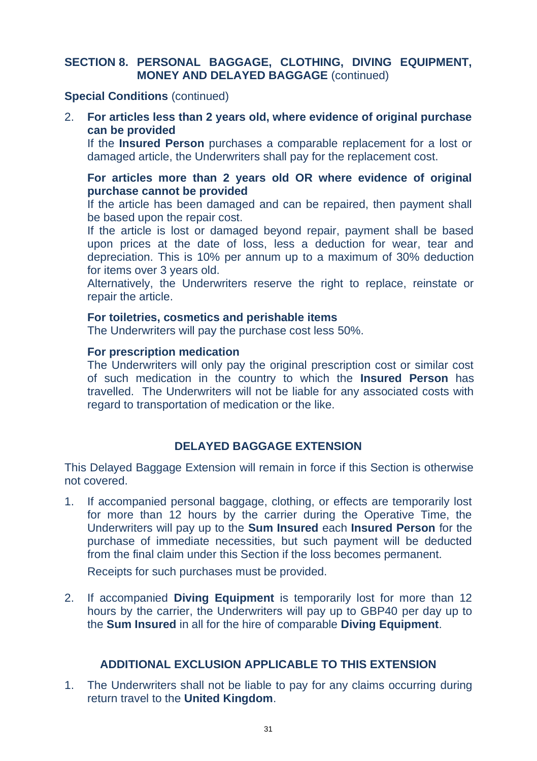## **SECTION 8. PERSONAL BAGGAGE, CLOTHING, DIVING EQUIPMENT, MONEY AND DELAYED BAGGAGE** (continued)

#### **Special Conditions** (continued)

## 2. **For articles less than 2 years old, where evidence of original purchase can be provided**

If the **Insured Person** purchases a comparable replacement for a lost or damaged article, the Underwriters shall pay for the replacement cost.

#### **For articles more than 2 years old OR where evidence of original purchase cannot be provided**

If the article has been damaged and can be repaired, then payment shall be based upon the repair cost.

If the article is lost or damaged beyond repair, payment shall be based upon prices at the date of loss, less a deduction for wear, tear and depreciation. This is 10% per annum up to a maximum of 30% deduction for items over 3 years old.

Alternatively, the Underwriters reserve the right to replace, reinstate or repair the article.

#### **For toiletries, cosmetics and perishable items**

The Underwriters will pay the purchase cost less 50%.

## **For prescription medication**

The Underwriters will only pay the original prescription cost or similar cost of such medication in the country to which the **Insured Person** has travelled. The Underwriters will not be liable for any associated costs with regard to transportation of medication or the like.

## **DELAYED BAGGAGE EXTENSION**

This Delayed Baggage Extension will remain in force if this Section is otherwise not covered.

1. If accompanied personal baggage, clothing, or effects are temporarily lost for more than 12 hours by the carrier during the Operative Time, the Underwriters will pay up to the **Sum Insured** each **Insured Person** for the purchase of immediate necessities, but such payment will be deducted from the final claim under this Section if the loss becomes permanent.

Receipts for such purchases must be provided.

2. If accompanied **Diving Equipment** is temporarily lost for more than 12 hours by the carrier, the Underwriters will pay up to GBP40 per day up to the **Sum Insured** in all for the hire of comparable **Diving Equipment**.

## **ADDITIONAL EXCLUSION APPLICABLE TO THIS EXTENSION**

1. The Underwriters shall not be liable to pay for any claims occurring during return travel to the **United Kingdom**.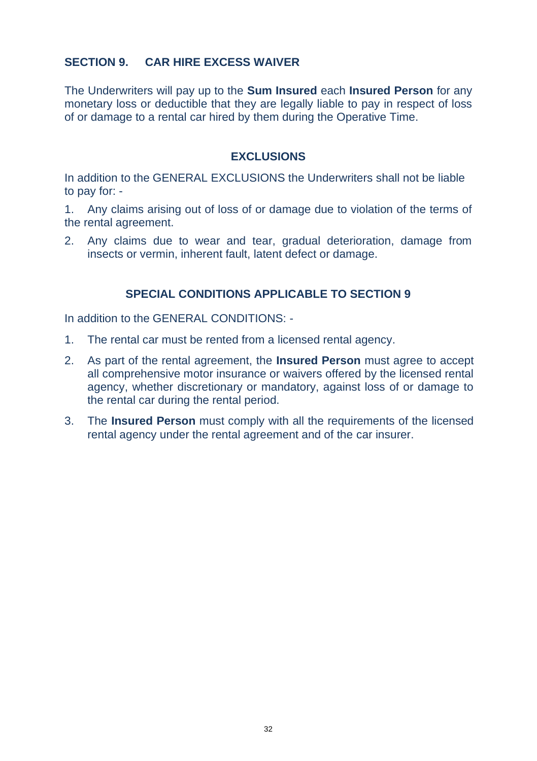## **SECTION 9. CAR HIRE EXCESS WAIVER**

The Underwriters will pay up to the **Sum Insured** each **Insured Person** for any monetary loss or deductible that they are legally liable to pay in respect of loss of or damage to a rental car hired by them during the Operative Time.

## **EXCLUSIONS**

In addition to the GENERAL EXCLUSIONS the Underwriters shall not be liable to pay for: -

1. Any claims arising out of loss of or damage due to violation of the terms of the rental agreement.

2. Any claims due to wear and tear, gradual deterioration, damage from insects or vermin, inherent fault, latent defect or damage.

## **SPECIAL CONDITIONS APPLICABLE TO SECTION 9**

In addition to the GENERAL CONDITIONS: -

- 1. The rental car must be rented from a licensed rental agency.
- 2. As part of the rental agreement, the **Insured Person** must agree to accept all comprehensive motor insurance or waivers offered by the licensed rental agency, whether discretionary or mandatory, against loss of or damage to the rental car during the rental period.
- 3. The **Insured Person** must comply with all the requirements of the licensed rental agency under the rental agreement and of the car insurer.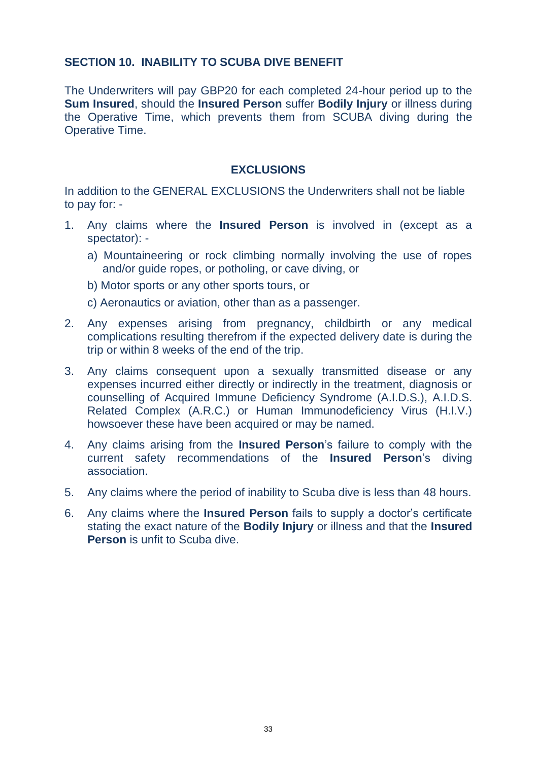## **SECTION 10. INABILITY TO SCUBA DIVE BENEFIT**

The Underwriters will pay GBP20 for each completed 24-hour period up to the **Sum Insured**, should the **Insured Person** suffer **Bodily Injury** or illness during the Operative Time, which prevents them from SCUBA diving during the Operative Time.

#### **EXCLUSIONS**

In addition to the GENERAL EXCLUSIONS the Underwriters shall not be liable to pay for: -

- 1. Any claims where the **Insured Person** is involved in (except as a spectator):
	- a) Mountaineering or rock climbing normally involving the use of ropes and/or guide ropes, or potholing, or cave diving, or
	- b) Motor sports or any other sports tours, or
	- c) Aeronautics or aviation, other than as a passenger.
- 2. Any expenses arising from pregnancy, childbirth or any medical complications resulting therefrom if the expected delivery date is during the trip or within 8 weeks of the end of the trip.
- 3. Any claims consequent upon a sexually transmitted disease or any expenses incurred either directly or indirectly in the treatment, diagnosis or counselling of Acquired Immune Deficiency Syndrome (A.I.D.S.), A.I.D.S. Related Complex (A.R.C.) or Human Immunodeficiency Virus (H.I.V.) howsoever these have been acquired or may be named.
- 4. Any claims arising from the **Insured Person**'s failure to comply with the current safety recommendations of the **Insured Person**'s diving association.
- 5. Any claims where the period of inability to Scuba dive is less than 48 hours.
- 6. Any claims where the **Insured Person** fails to supply a doctor's certificate stating the exact nature of the **Bodily Injury** or illness and that the **Insured Person** is unfit to Scuba dive.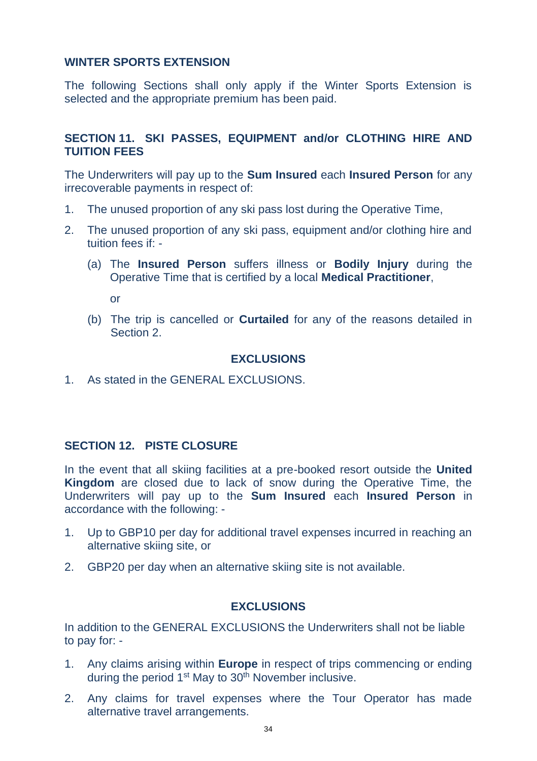## **WINTER SPORTS EXTENSION**

The following Sections shall only apply if the Winter Sports Extension is selected and the appropriate premium has been paid.

## **SECTION 11. SKI PASSES, EQUIPMENT and/or CLOTHING HIRE AND TUITION FEES**

The Underwriters will pay up to the **Sum Insured** each **Insured Person** for any irrecoverable payments in respect of:

- 1. The unused proportion of any ski pass lost during the Operative Time,
- 2. The unused proportion of any ski pass, equipment and/or clothing hire and tuition fees if: -
	- (a) The **Insured Person** suffers illness or **Bodily Injury** during the Operative Time that is certified by a local **Medical Practitioner**,

or

(b) The trip is cancelled or **Curtailed** for any of the reasons detailed in Section 2.

## **EXCLUSIONS**

1. As stated in the GENERAL EXCLUSIONS.

## **SECTION 12. PISTE CLOSURE**

In the event that all skiing facilities at a pre-booked resort outside the **United Kingdom** are closed due to lack of snow during the Operative Time, the Underwriters will pay up to the **Sum Insured** each **Insured Person** in accordance with the following: -

- 1. Up to GBP10 per day for additional travel expenses incurred in reaching an alternative skiing site, or
- 2. GBP20 per day when an alternative skiing site is not available.

#### **EXCLUSIONS**

In addition to the GENERAL EXCLUSIONS the Underwriters shall not be liable to pay for: -

- 1. Any claims arising within **Europe** in respect of trips commencing or ending during the period  $1<sup>st</sup>$  May to  $30<sup>th</sup>$  November inclusive.
- 2. Any claims for travel expenses where the Tour Operator has made alternative travel arrangements.